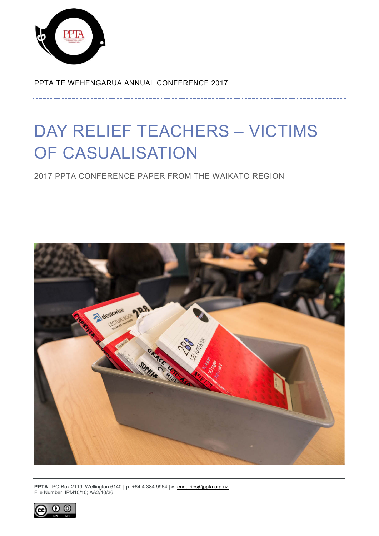

PPTA TE WEHENGARUA ANNUAL CONFERENCE 2017

# DAY RELIEF TEACHERS – VICTIMS OF CASUALISATION

2017 PPTA CONFERENCE PAPER FROM THE WAIKATO REGION



**PPTA** | PO Box 2119, Wellington 6140 | **p**. +64 4 384 9964 | **e**[. enquiries@ppta.org.nz](mailto:enquiries@ppta.org.nz) File Number: IPM10/10; AA2/10/36

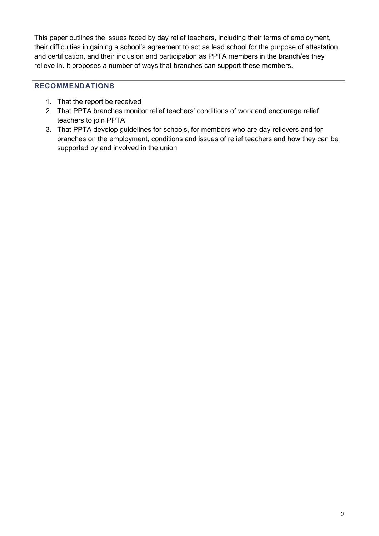This paper outlines the issues faced by day relief teachers, including their terms of employment, their difficulties in gaining a school's agreement to act as lead school for the purpose of attestation and certification, and their inclusion and participation as PPTA members in the branch/es they relieve in. It proposes a number of ways that branches can support these members.

## <span id="page-1-0"></span>**RECOMMENDATIONS**

- 1. That the report be received
- 2. That PPTA branches monitor relief teachers' conditions of work and encourage relief teachers to join PPTA
- 3. That PPTA develop guidelines for schools, for members who are day relievers and for branches on the employment, conditions and issues of relief teachers and how they can be supported by and involved in the union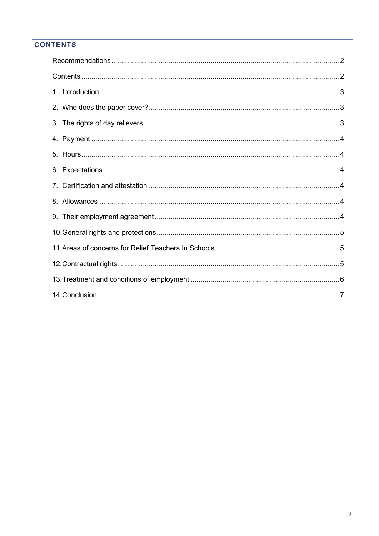## <span id="page-2-0"></span>**CONTENTS**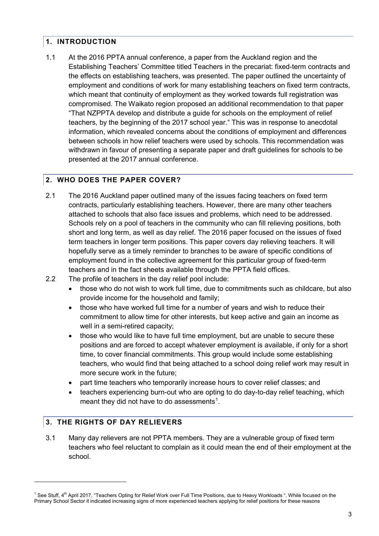## <span id="page-3-0"></span>**1. INTRODUCTION**

1.1 At the 2016 PPTA annual conference, a paper from the Auckland region and the Establishing Teachers' Committee titled Teachers in the precariat: fixed-term contracts and the effects on establishing teachers, was presented. The paper outlined the uncertainty of employment and conditions of work for many establishing teachers on fixed term contracts, which meant that continuity of employment as they worked towards full registration was compromised. The Waikato region proposed an additional recommendation to that paper "That NZPPTA develop and distribute a guide for schools on the employment of relief teachers, by the beginning of the 2017 school year." This was in response to anecdotal information, which revealed concerns about the conditions of employment and differences between schools in how relief teachers were used by schools. This recommendation was withdrawn in favour of presenting a separate paper and draft guidelines for schools to be presented at the 2017 annual conference.

## <span id="page-3-1"></span>**2. WHO DOES THE PAPER COVER?**

- 2.1 The 2016 Auckland paper outlined many of the issues facing teachers on fixed term contracts, particularly establishing teachers. However, there are many other teachers attached to schools that also face issues and problems, which need to be addressed. Schools rely on a pool of teachers in the community who can fill relieving positions, both short and long term, as well as day relief. The 2016 paper focused on the issues of fixed term teachers in longer term positions. This paper covers day relieving teachers. It will hopefully serve as a timely reminder to branches to be aware of specific conditions of employment found in the collective agreement for this particular group of fixed-term teachers and in the fact sheets available through the PPTA field offices.
- 2.2 The profile of teachers in the day relief pool include:
	- those who do not wish to work full time, due to commitments such as childcare, but also provide income for the household and family;
	- those who have worked full time for a number of years and wish to reduce their commitment to allow time for other interests, but keep active and gain an income as well in a semi-retired capacity;
	- those who would like to have full time employment, but are unable to secure these positions and are forced to accept whatever employment is available, if only for a short time, to cover financial commitments. This group would include some establishing teachers, who would find that being attached to a school doing relief work may result in more secure work in the future;
	- part time teachers who temporarily increase hours to cover relief classes; and
	- teachers experiencing burn-out who are opting to do day-to-day relief teaching, which meant they did not have to do assessments<sup>[1](#page-3-3)</sup>.

## <span id="page-3-2"></span>**3. THE RIGHTS OF DAY RELIEVERS**

 $\overline{a}$ 

3.1 Many day relievers are not PPTA members. They are a vulnerable group of fixed term teachers who feel reluctant to complain as it could mean the end of their employment at the school.

<span id="page-3-3"></span> $1$  See Stuff,  $4<sup>th</sup>$  April 2017, "Teachers Opting for Relief Work over Full Time Positions, due to Heavy Workloads ". While focused on the Primary School Sector it indicated increasing signs of more experienced teachers applying for relief positions for these reasons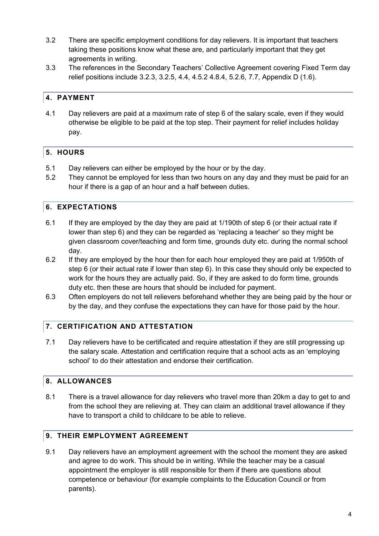- 3.2 There are specific employment conditions for day relievers. It is important that teachers taking these positions know what these are, and particularly important that they get agreements in writing.
- 3.3 The references in the Secondary Teachers' Collective Agreement covering Fixed Term day relief positions include 3.2.3, 3.2.5, 4.4, 4.5.2 4.8.4, 5.2.6, 7.7, Appendix D (1.6).

## <span id="page-4-0"></span>**4. PAYMENT**

4.1 Day relievers are paid at a maximum rate of step 6 of the salary scale, even if they would otherwise be eligible to be paid at the top step. Their payment for relief includes holiday pay.

## <span id="page-4-1"></span>**5. HOURS**

- 5.1 Day relievers can either be employed by the hour or by the day.
- 5.2 They cannot be employed for less than two hours on any day and they must be paid for an hour if there is a gap of an hour and a half between duties.

## <span id="page-4-2"></span>**6. EXPECTATIONS**

- 6.1 If they are employed by the day they are paid at 1/190th of step 6 (or their actual rate if lower than step 6) and they can be regarded as 'replacing a teacher' so they might be given classroom cover/teaching and form time, grounds duty etc. during the normal school day.
- 6.2 If they are employed by the hour then for each hour employed they are paid at 1/950th of step 6 (or their actual rate if lower than step 6). In this case they should only be expected to work for the hours they are actually paid. So, if they are asked to do form time, grounds duty etc. then these are hours that should be included for payment.
- 6.3 Often employers do not tell relievers beforehand whether they are being paid by the hour or by the day, and they confuse the expectations they can have for those paid by the hour.

## <span id="page-4-3"></span>**7. CERTIFICATION AND ATTESTATION**

7.1 Day relievers have to be certificated and require attestation if they are still progressing up the salary scale. Attestation and certification require that a school acts as an 'employing school' to do their attestation and endorse their certification.

## <span id="page-4-4"></span>**8. ALLOWANCES**

8.1 There is a travel allowance for day relievers who travel more than 20km a day to get to and from the school they are relieving at. They can claim an additional travel allowance if they have to transport a child to childcare to be able to relieve.

#### <span id="page-4-5"></span>**9. THEIR EMPLOYMENT AGREEMENT**

9.1 Day relievers have an employment agreement with the school the moment they are asked and agree to do work. This should be in writing. While the teacher may be a casual appointment the employer is still responsible for them if there are questions about competence or behaviour (for example complaints to the Education Council or from parents).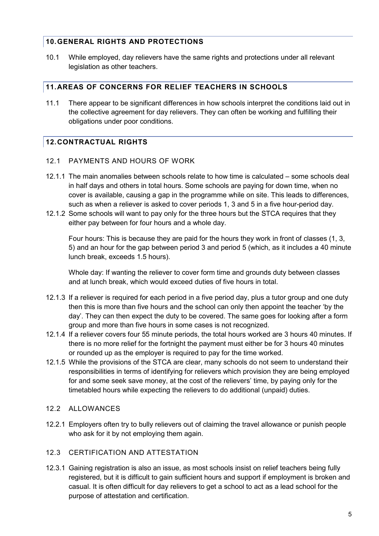#### <span id="page-5-0"></span>**10.GENERAL RIGHTS AND PROTECTIONS**

10.1 While employed, day relievers have the same rights and protections under all relevant legislation as other teachers.

#### <span id="page-5-1"></span>**11.AREAS OF CONCERNS FOR RELIEF TEACHERS IN SCHOOLS**

11.1 There appear to be significant differences in how schools interpret the conditions laid out in the collective agreement for day relievers. They can often be working and fulfilling their obligations under poor conditions.

#### <span id="page-5-2"></span>**12.CONTRACTUAL RIGHTS**

- 12.1 PAYMENTS AND HOURS OF WORK
- 12.1.1 The main anomalies between schools relate to how time is calculated some schools deal in half days and others in total hours. Some schools are paying for down time, when no cover is available, causing a gap in the programme while on site. This leads to differences, such as when a reliever is asked to cover periods 1, 3 and 5 in a five hour-period day.
- 12.1.2 Some schools will want to pay only for the three hours but the STCA requires that they either pay between for four hours and a whole day.

Four hours: This is because they are paid for the hours they work in front of classes (1, 3, 5) and an hour for the gap between period 3 and period 5 (which, as it includes a 40 minute lunch break, exceeds 1.5 hours).

Whole day: If wanting the reliever to cover form time and grounds duty between classes and at lunch break, which would exceed duties of five hours in total.

- 12.1.3 If a reliever is required for each period in a five period day, plus a tutor group and one duty then this is more than five hours and the school can only then appoint the teacher 'by the day'. They can then expect the duty to be covered. The same goes for looking after a form group and more than five hours in some cases is not recognized.
- 12.1.4 If a reliever covers four 55 minute periods, the total hours worked are 3 hours 40 minutes. If there is no more relief for the fortnight the payment must either be for 3 hours 40 minutes or rounded up as the employer is required to pay for the time worked.
- 12.1.5 While the provisions of the STCA are clear, many schools do not seem to understand their responsibilities in terms of identifying for relievers which provision they are being employed for and some seek save money, at the cost of the relievers' time, by paying only for the timetabled hours while expecting the relievers to do additional (unpaid) duties.

#### 12.2 ALLOWANCES

12.2.1 Employers often try to bully relievers out of claiming the travel allowance or punish people who ask for it by not employing them again.

#### 12.3 CERTIFICATION AND ATTESTATION

12.3.1 Gaining registration is also an issue, as most schools insist on relief teachers being fully registered, but it is difficult to gain sufficient hours and support if employment is broken and casual. It is often difficult for day relievers to get a school to act as a lead school for the purpose of attestation and certification.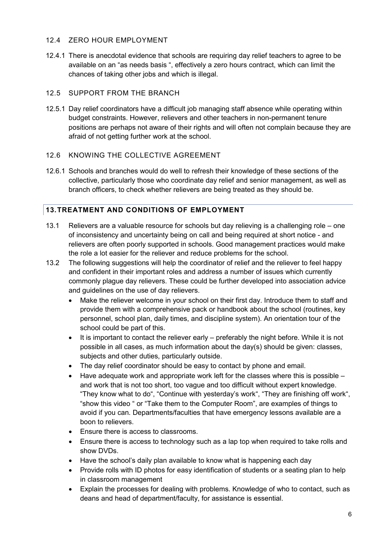#### 12.4 ZERO HOUR EMPLOYMENT

12.4.1 There is anecdotal evidence that schools are requiring day relief teachers to agree to be available on an "as needs basis ", effectively a zero hours contract, which can limit the chances of taking other jobs and which is illegal.

#### 12.5 SUPPORT FROM THE BRANCH

12.5.1 Day relief coordinators have a difficult job managing staff absence while operating within budget constraints. However, relievers and other teachers in non-permanent tenure positions are perhaps not aware of their rights and will often not complain because they are afraid of not getting further work at the school.

#### 12.6 KNOWING THE COLLECTIVE AGREEMENT

12.6.1 Schools and branches would do well to refresh their knowledge of these sections of the collective, particularly those who coordinate day relief and senior management, as well as branch officers, to check whether relievers are being treated as they should be.

#### <span id="page-6-0"></span>**13.TREATMENT AND CONDITIONS OF EMPLOYMENT**

- 13.1 Relievers are a valuable resource for schools but day relieving is a challenging role one of inconsistency and uncertainty being on call and being required at short notice - and relievers are often poorly supported in schools. Good management practices would make the role a lot easier for the reliever and reduce problems for the school.
- 13.2 The following suggestions will help the coordinator of relief and the reliever to feel happy and confident in their important roles and address a number of issues which currently commonly plague day relievers. These could be further developed into association advice and guidelines on the use of day relievers.
	- Make the reliever welcome in your school on their first day. Introduce them to staff and provide them with a comprehensive pack or handbook about the school (routines, key personnel, school plan, daily times, and discipline system). An orientation tour of the school could be part of this.
	- It is important to contact the reliever early preferably the night before. While it is not possible in all cases, as much information about the day(s) should be given: classes, subjects and other duties, particularly outside.
	- The day relief coordinator should be easy to contact by phone and email.
	- Have adequate work and appropriate work left for the classes where this is possible and work that is not too short, too vague and too difficult without expert knowledge. "They know what to do", "Continue with yesterday's work", "They are finishing off work", "show this video " or "Take them to the Computer Room", are examples of things to avoid if you can. Departments/faculties that have emergency lessons available are a boon to relievers.
	- Ensure there is access to classrooms.
	- Ensure there is access to technology such as a lap top when required to take rolls and show DVDs.
	- Have the school's daily plan available to know what is happening each day
	- Provide rolls with ID photos for easy identification of students or a seating plan to help in classroom management
	- Explain the processes for dealing with problems. Knowledge of who to contact, such as deans and head of department/faculty, for assistance is essential.